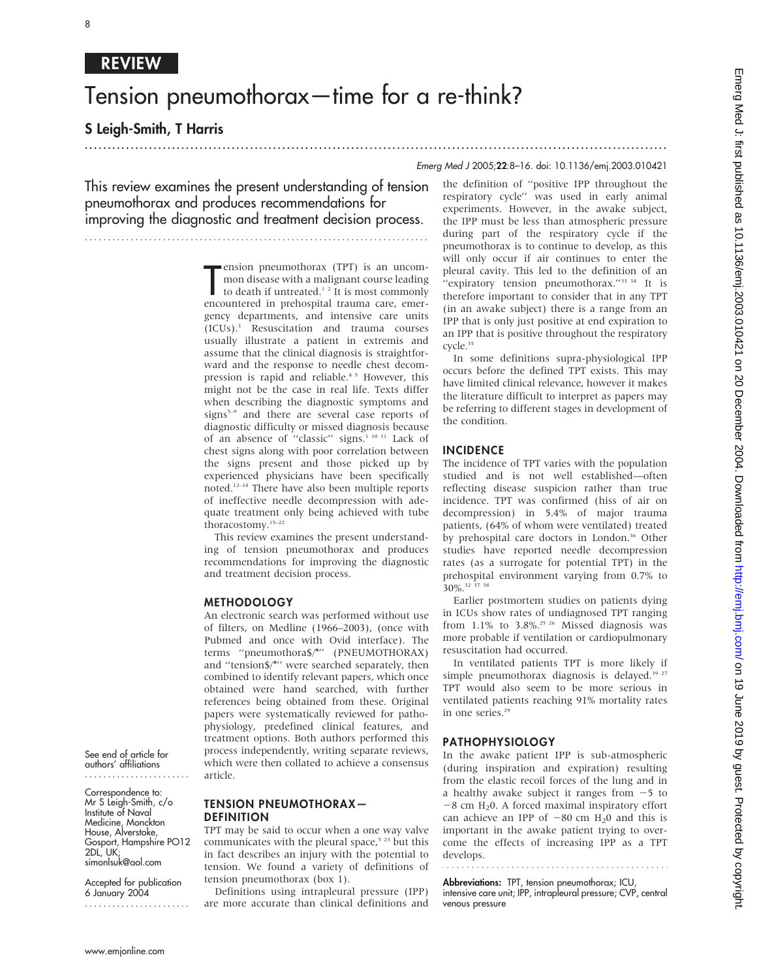

# Tension pneumothorax—time for a re-think?

...............................................................................................................................

S Leigh-Smith, T Harris

## Emerg Med J 2005;22:8–16. doi: 10.1136/emj.2003.010421

This review examines the present understanding of tension pneumothorax and produces recommendations for improving the diagnostic and treatment decision process.

...........................................................................

ension pneumothorax (1PT) is an uncom-<br>mon disease with a malignant course leading<br>to death if untreated.<sup>1</sup> <sup>2</sup> It is most commonly<br>encountered in prehospital trauma care, emerension pneumothorax (TPT) is an uncommon disease with a malignant course leading to death if untreated.<sup>12</sup> It is most commonly gency departments, and intensive care units (ICUs).3 Resuscitation and trauma courses usually illustrate a patient in extremis and assume that the clinical diagnosis is straightforward and the response to needle chest decompression is rapid and reliable.<sup>45</sup> However, this might not be the case in real life. Texts differ when describing the diagnostic symptoms and signs<sup>5-9</sup> and there are several case reports of diagnostic difficulty or missed diagnosis because of an absence of "classic" signs.<sup>1 10 11</sup> Lack of chest signs along with poor correlation between the signs present and those picked up by experienced physicians have been specifically noted.12–14 There have also been multiple reports of ineffective needle decompression with adequate treatment only being achieved with tube thoracostomy.15–22

This review examines the present understanding of tension pneumothorax and produces recommendations for improving the diagnostic and treatment decision process.

#### METHODOLOGY

An electronic search was performed without use of filters, on Medline (1966–2003), (once with Pubmed and once with Ovid interface). The terms ''pneumothora\$/\*'' (PNEUMOTHORAX) and ''tension\$/\*'' were searched separately, then combined to identify relevant papers, which once obtained were hand searched, with further references being obtained from these. Original papers were systematically reviewed for pathophysiology, predefined clinical features, and treatment options. Both authors performed this process independently, writing separate reviews, which were then collated to achieve a consensus article.

See end of article for authors' affiliations .......................

Correspondence to: Mr S Leigh-Smith, c/o Institute of Naval Medicine, Monckton House, Alverstoke, Gosport, Hampshire PO12  $2DL$ , UK; simonlsuk@aol.com

Accepted for publication 6 January 2004 .......................

#### TENSION PNEUMOTHORAX— DEFINITION

TPT may be said to occur when a one way valve communicates with the pleural space,<sup>5</sup> <sup>23</sup> but this in fact describes an injury with the potential to tension. We found a variety of definitions of tension pneumothorax (box 1).

Definitions using intrapleural pressure (IPP) are more accurate than clinical definitions and the definition of ''positive IPP throughout the respiratory cycle'' was used in early animal experiments. However, in the awake subject, the IPP must be less than atmospheric pressure during part of the respiratory cycle if the pneumothorax is to continue to develop, as this will only occur if air continues to enter the pleural cavity. This led to the definition of an "expiratory tension pneumothorax."<sup>33 34</sup> It is therefore important to consider that in any TPT (in an awake subject) there is a range from an IPP that is only just positive at end expiration to an IPP that is positive throughout the respiratory cycle.<sup>35</sup>

In some definitions supra-physiological IPP occurs before the defined TPT exists. This may have limited clinical relevance, however it makes the literature difficult to interpret as papers may be referring to different stages in development of the condition.

#### INCIDENCE

The incidence of TPT varies with the population studied and is not well established—often reflecting disease suspicion rather than true incidence. TPT was confirmed (hiss of air on decompression) in 5.4% of major trauma patients, (64% of whom were ventilated) treated by prehospital care doctors in London.<sup>36</sup> Other studies have reported needle decompression rates (as a surrogate for potential TPT) in the prehospital environment varying from 0.7% to 30%.32 37 38

Earlier postmortem studies on patients dying in ICUs show rates of undiagnosed TPT ranging from  $1.1\%$  to 3.8%.<sup>25 26</sup> Missed diagnosis was more probable if ventilation or cardiopulmonary resuscitation had occurred.

In ventilated patients TPT is more likely if simple pneumothorax diagnosis is delayed.<sup>39 27</sup> TPT would also seem to be more serious in ventilated patients reaching 91% mortality rates in one series.<sup>29</sup>

### PATHOPHYSIOLOGY

In the awake patient IPP is sub-atmospheric (during inspiration and expiration) resulting from the elastic recoil forces of the lung and in a healthy awake subject it ranges from  $-5$  to  $-8$  cm H<sub>2</sub>0. A forced maximal inspiratory effort can achieve an IPP of  $-80$  cm  $H<sub>2</sub>0$  and this is important in the awake patient trying to overcome the effects of increasing IPP as a TPT develops.

Abbreviations: TPT, tension pneumothorax; ICU, intensive care unit; IPP, intrapleural pressure; CVP, central venous pressure

www.emjonline.com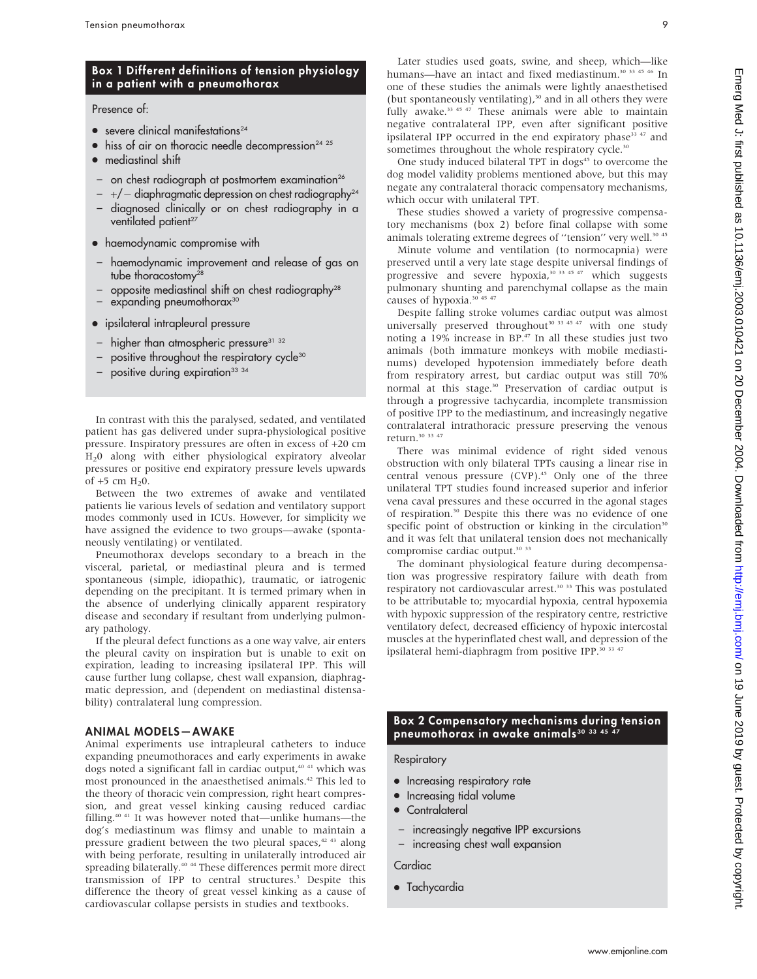### Box 1 Different definitions of tension physiology in a patient with a pneumothorax

Presence of:

- $\bullet$  severe clinical manifestations<sup>24</sup>
- $\bullet$  hiss of air on thoracic needle decompression<sup>24 25</sup>
- $\bullet$  mediastinal shift
- $-$  on chest radiograph at postmortem examination<sup>26</sup>
- $-$  +/  $-$  diaphragmatic depression on chest radiography<sup>24</sup>
- diagnosed clinically or on chest radiography in a ventilated patient<sup>27</sup>
- haemodynamic compromise with
- haemodynamic improvement and release of gas on tube thoracostomy<sup>28</sup>
- $-$  opposite mediastinal shift on chest radiography<sup>28</sup>
- expanding pneumothorax<sup>30</sup>
- ipsilateral intrapleural pressure
- higher than atmospheric pressure<sup>31</sup> <sup>32</sup>
- positive throughout the respiratory cycle<sup>30</sup>
- positive during expiration<sup>33</sup> 34

In contrast with this the paralysed, sedated, and ventilated patient has gas delivered under supra-physiological positive pressure. Inspiratory pressures are often in excess of +20 cm H20 along with either physiological expiratory alveolar pressures or positive end expiratory pressure levels upwards of  $+5$  cm  $H_20$ .

Between the two extremes of awake and ventilated patients lie various levels of sedation and ventilatory support modes commonly used in ICUs. However, for simplicity we have assigned the evidence to two groups—awake (spontaneously ventilating) or ventilated.

Pneumothorax develops secondary to a breach in the visceral, parietal, or mediastinal pleura and is termed spontaneous (simple, idiopathic), traumatic, or iatrogenic depending on the precipitant. It is termed primary when in the absence of underlying clinically apparent respiratory disease and secondary if resultant from underlying pulmonary pathology.

If the pleural defect functions as a one way valve, air enters the pleural cavity on inspiration but is unable to exit on expiration, leading to increasing ipsilateral IPP. This will cause further lung collapse, chest wall expansion, diaphragmatic depression, and (dependent on mediastinal distensability) contralateral lung compression.

#### ANIMAL MODELS—AWAKE

Animal experiments use intrapleural catheters to induce expanding pneumothoraces and early experiments in awake dogs noted a significant fall in cardiac output,<sup>40 41</sup> which was most pronounced in the anaesthetised animals.42 This led to the theory of thoracic vein compression, right heart compression, and great vessel kinking causing reduced cardiac filling.<sup>40 41</sup> It was however noted that—unlike humans—the dog's mediastinum was flimsy and unable to maintain a pressure gradient between the two pleural spaces,<sup>42 43</sup> along with being perforate, resulting in unilaterally introduced air spreading bilaterally.<sup>40</sup> <sup>44</sup> These differences permit more direct transmission of IPP to central structures.<sup>3</sup> Despite this difference the theory of great vessel kinking as a cause of cardiovascular collapse persists in studies and textbooks.

Later studies used goats, swine, and sheep, which—like humans—have an intact and fixed mediastinum.<sup>30</sup> <sup>33</sup> <sup>45</sup> 46</sup> In one of these studies the animals were lightly anaesthetised (but spontaneously ventilating), $30$  and in all others they were fully awake. $33 \times 45 \times 47$  These animals were able to maintain negative contralateral IPP, even after significant positive ipsilateral IPP occurred in the end expiratory phase<sup>33 47</sup> and sometimes throughout the whole respiratory cycle.<sup>30</sup>

One study induced bilateral TPT in dogs<sup>45</sup> to overcome the dog model validity problems mentioned above, but this may negate any contralateral thoracic compensatory mechanisms, which occur with unilateral TPT.

These studies showed a variety of progressive compensatory mechanisms (box 2) before final collapse with some animals tolerating extreme degrees of "tension" very well.<sup>30 45</sup>

Minute volume and ventilation (to normocapnia) were preserved until a very late stage despite universal findings of progressive and severe hypoxia,<sup>30</sup> <sup>33 45 47</sup> which suggests pulmonary shunting and parenchymal collapse as the main causes of hypoxia.<sup>30 45 47</sup>

Despite falling stroke volumes cardiac output was almost universally preserved throughout<sup>30 33 45 47</sup> with one study noting a 19% increase in BP.47 In all these studies just two animals (both immature monkeys with mobile mediastinums) developed hypotension immediately before death from respiratory arrest, but cardiac output was still 70% normal at this stage.<sup>30</sup> Preservation of cardiac output is through a progressive tachycardia, incomplete transmission of positive IPP to the mediastinum, and increasingly negative contralateral intrathoracic pressure preserving the venous return.30 33 47

There was minimal evidence of right sided venous obstruction with only bilateral TPTs causing a linear rise in central venous pressure (CVP).<sup>45</sup> Only one of the three unilateral TPT studies found increased superior and inferior vena caval pressures and these occurred in the agonal stages of respiration.30 Despite this there was no evidence of one specific point of obstruction or kinking in the circulation<sup>30</sup> and it was felt that unilateral tension does not mechanically compromise cardiac output.<sup>30</sup><sup>33</sup>

The dominant physiological feature during decompensation was progressive respiratory failure with death from respiratory not cardiovascular arrest.<sup>30</sup><sup>33</sup> This was postulated to be attributable to; myocardial hypoxia, central hypoxemia with hypoxic suppression of the respiratory centre, restrictive ventilatory defect, decreased efficiency of hypoxic intercostal muscles at the hyperinflated chest wall, and depression of the ipsilateral hemi-diaphragm from positive IPP.30 33 47

#### Box 2 Compensatory mechanisms during tension pneumothorax in awake animals<sup>30</sup> 33 45 47

#### **Respiratory**

- Increasing respiratory rate
- Increasing tidal volume
- $\bullet$  Contralateral
- increasingly negative IPP excursions
- increasing chest wall expansion

#### **Cardiac**

• Tachycardia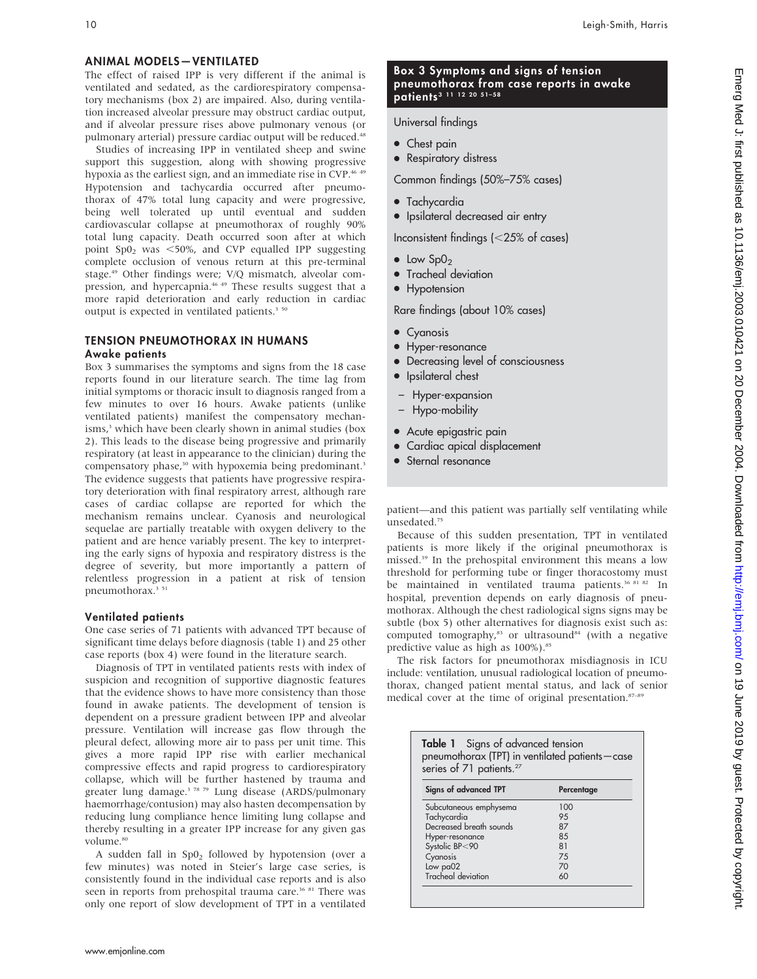## ANIMAL MODELS—VENTILATED

The effect of raised IPP is very different if the animal is ventilated and sedated, as the cardiorespiratory compensatory mechanisms (box 2) are impaired. Also, during ventilation increased alveolar pressure may obstruct cardiac output, and if alveolar pressure rises above pulmonary venous (or pulmonary arterial) pressure cardiac output will be reduced.<sup>48</sup>

Studies of increasing IPP in ventilated sheep and swine support this suggestion, along with showing progressive hypoxia as the earliest sign, and an immediate rise in CVP.<sup>46 49</sup> Hypotension and tachycardia occurred after pneumothorax of 47% total lung capacity and were progressive, being well tolerated up until eventual and sudden cardiovascular collapse at pneumothorax of roughly 90% total lung capacity. Death occurred soon after at which point  $Sp0<sub>2</sub>$  was <50%, and CVP equalled IPP suggesting complete occlusion of venous return at this pre-terminal stage.49 Other findings were; V/Q mismatch, alveolar compression, and hypercapnia.<sup>46 49</sup> These results suggest that a more rapid deterioration and early reduction in cardiac output is expected in ventilated patients.<sup>3 50</sup>

#### TENSION PNEUMOTHORAX IN HUMANS Awake patients

Box 3 summarises the symptoms and signs from the 18 case reports found in our literature search. The time lag from initial symptoms or thoracic insult to diagnosis ranged from a few minutes to over 16 hours. Awake patients (unlike ventilated patients) manifest the compensatory mechanisms,<sup>3</sup> which have been clearly shown in animal studies (box 2). This leads to the disease being progressive and primarily respiratory (at least in appearance to the clinician) during the compensatory phase,<sup>30</sup> with hypoxemia being predominant.<sup>3</sup> The evidence suggests that patients have progressive respiratory deterioration with final respiratory arrest, although rare cases of cardiac collapse are reported for which the mechanism remains unclear. Cyanosis and neurological sequelae are partially treatable with oxygen delivery to the patient and are hence variably present. The key to interpreting the early signs of hypoxia and respiratory distress is the degree of severity, but more importantly a pattern of relentless progression in a patient at risk of tension pneumothorax.<sup>3</sup><sup>51</sup>

#### Ventilated patients

One case series of 71 patients with advanced TPT because of significant time delays before diagnosis (table 1) and 25 other case reports (box 4) were found in the literature search.

Diagnosis of TPT in ventilated patients rests with index of suspicion and recognition of supportive diagnostic features that the evidence shows to have more consistency than those found in awake patients. The development of tension is dependent on a pressure gradient between IPP and alveolar pressure. Ventilation will increase gas flow through the pleural defect, allowing more air to pass per unit time. This gives a more rapid IPP rise with earlier mechanical compressive effects and rapid progress to cardiorespiratory collapse, which will be further hastened by trauma and greater lung damage.<sup>3</sup> <sup>78 79</sup> Lung disease (ARDS/pulmonary haemorrhage/contusion) may also hasten decompensation by reducing lung compliance hence limiting lung collapse and thereby resulting in a greater IPP increase for any given gas volume.<sup>80</sup>

A sudden fall in  $Sp0<sub>2</sub>$  followed by hypotension (over a few minutes) was noted in Steier's large case series, is consistently found in the individual case reports and is also seen in reports from prehospital trauma care.<sup>36 81</sup> There was only one report of slow development of TPT in a ventilated

### Box 3 Symptoms and signs of tension pneumothorax from case reports in awake patients<sup>3</sup> 11 12 20 51-58

Universal findings

- Chest pain
- Respiratory distress

Common findings (50%–75% cases)

- Tachycardia
- Ipsilateral decreased air entry

Inconsistent findings  $\left| \langle \rangle 25 \rangle \right|$  of cases)

- $\bullet$  Low Sp0<sub>2</sub>
- Tracheal deviation
- Hypotension

Rare findings (about 10% cases)

- Cyanosis
- Hyper-resonance
- Decreasing level of consciousness
- Ipsilateral chest
- Hyper-expansion
- Hypo-mobility
- Acute epigastric pain
- Cardiac apical displacement
- Sternal resonance

patient—and this patient was partially self ventilating while unsedated.75

Because of this sudden presentation, TPT in ventilated patients is more likely if the original pneumothorax is missed.39 In the prehospital environment this means a low threshold for performing tube or finger thoracostomy must be maintained in ventilated trauma patients.<sup>36 81 82</sup> In hospital, prevention depends on early diagnosis of pneumothorax. Although the chest radiological signs signs may be subtle (box 5) other alternatives for diagnosis exist such as: computed tomography, $83$  or ultrasound  $84$  (with a negative predictive value as high as 100%).<sup>85</sup>

The risk factors for pneumothorax misdiagnosis in ICU include: ventilation, unusual radiological location of pneumothorax, changed patient mental status, and lack of senior medical cover at the time of original presentation.<sup>87-89</sup>

| pneumothorax (TPT) in ventilated patients - case<br>series of 71 patients. <sup>27</sup> |            |
|------------------------------------------------------------------------------------------|------------|
| Signs of advanced TPT                                                                    | Percentage |
| Subcutaneous emphysema                                                                   | 100        |
| Tachycardia                                                                              | 9.5        |
| Decreased breath sounds                                                                  | 87         |
| Hyper-resonance                                                                          | 85         |
| Systolic BP<90                                                                           | 81         |
| Cyanosis                                                                                 | 75         |
| Low pa02                                                                                 | 70         |
| Tracheal deviation                                                                       | 60         |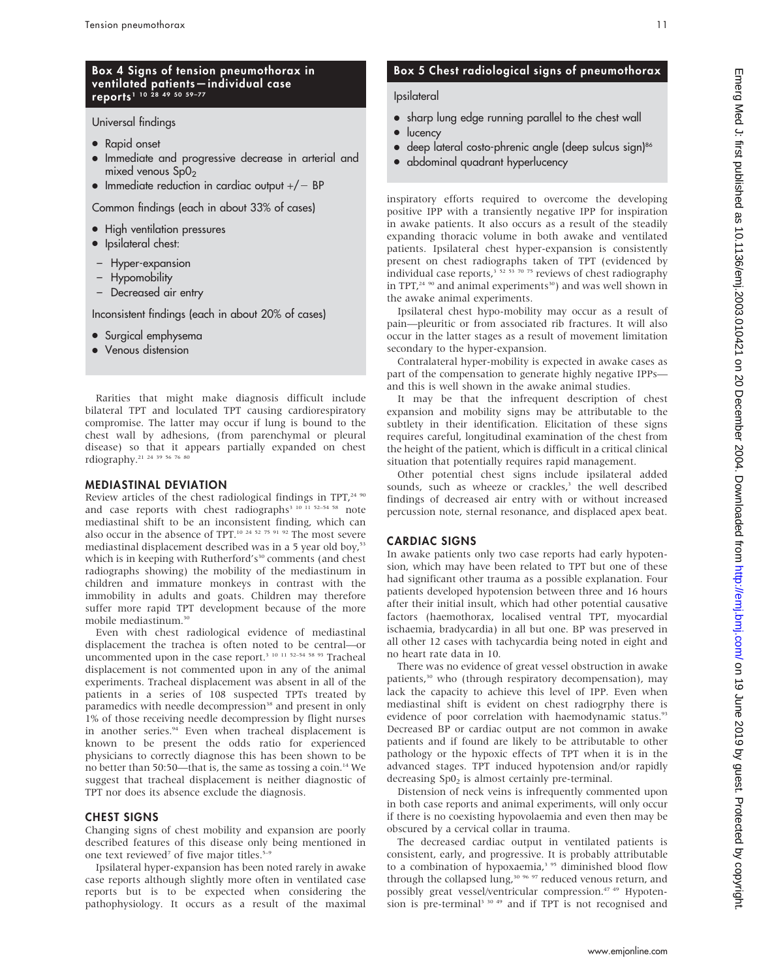## Box 4 Signs of tension pneumothorax in ventilated patients—individual case reports 1 10 28 49 50 59–77

Universal findings

- Rapid onset
- $\bullet$  Immediate and progressive decrease in arterial and mixed venous  $SpO<sub>2</sub>$
- $\bullet$  Immediate reduction in cardiac output  $+/-$  BP

Common findings (each in about 33% of cases)

- High ventilation pressures
- Ipsilateral chest:
- Hyper-expansion
- Hypomobility
- Decreased air entry

Inconsistent findings (each in about 20% of cases)

- Surgical emphysema
- Venous distension

Rarities that might make diagnosis difficult include bilateral TPT and loculated TPT causing cardiorespiratory compromise. The latter may occur if lung is bound to the chest wall by adhesions, (from parenchymal or pleural disease) so that it appears partially expanded on chest rdiography.<sup>21</sup> 24 39 56 76 8

#### MEDIASTINAL DEVIATION

Review articles of the chest radiological findings in TPT,<sup>24 90</sup> and case reports with chest radiographs<sup>3 10 11 52-54 58</sup> note mediastinal shift to be an inconsistent finding, which can also occur in the absence of TPT.<sup>10 24 52 75 91 92</sup> The most severe mediastinal displacement described was in a 5 year old boy,<sup>53</sup> which is in keeping with Rutherford's<sup>30</sup> comments (and chest radiographs showing) the mobility of the mediastinum in children and immature monkeys in contrast with the immobility in adults and goats. Children may therefore suffer more rapid TPT development because of the more mobile mediastinum.<sup>30</sup>

Even with chest radiological evidence of mediastinal displacement the trachea is often noted to be central—or uncommented upon in the case report.<sup>3 10 11 52–54 58</sup> <sup>93</sup> Tracheal displacement is not commented upon in any of the animal experiments. Tracheal displacement was absent in all of the patients in a series of 108 suspected TPTs treated by paramedics with needle decompression<sup>38</sup> and present in only 1% of those receiving needle decompression by flight nurses in another series.<sup>94</sup> Even when tracheal displacement is known to be present the odds ratio for experienced physicians to correctly diagnose this has been shown to be no better than 50:50—that is, the same as tossing a coin.14 We suggest that tracheal displacement is neither diagnostic of TPT nor does its absence exclude the diagnosis.

#### CHEST SIGNS

Changing signs of chest mobility and expansion are poorly described features of this disease only being mentioned in one text reviewed<sup>7</sup> of five major titles. $\frac{5}{2}$ 

Ipsilateral hyper-expansion has been noted rarely in awake case reports although slightly more often in ventilated case reports but is to be expected when considering the pathophysiology. It occurs as a result of the maximal

## Box 5 Chest radiological signs of pneumothorax

## Ipsilateral

- sharp lung edge running parallel to the chest wall
- $\bullet$  lucency
- deep lateral costo-phrenic angle (deep sulcus sign)<sup>86</sup>
- abdominal quadrant hyperlucency

inspiratory efforts required to overcome the developing positive IPP with a transiently negative IPP for inspiration in awake patients. It also occurs as a result of the steadily expanding thoracic volume in both awake and ventilated patients. Ipsilateral chest hyper-expansion is consistently present on chest radiographs taken of TPT (evidenced by individual case reports,<sup>3 52 53 70 75</sup> reviews of chest radiography in TPT,<sup>24 90</sup> and animal experiments<sup>30</sup>) and was well shown in the awake animal experiments.

Ipsilateral chest hypo-mobility may occur as a result of pain—pleuritic or from associated rib fractures. It will also occur in the latter stages as a result of movement limitation secondary to the hyper-expansion.

Contralateral hyper-mobility is expected in awake cases as part of the compensation to generate highly negative IPPs and this is well shown in the awake animal studies.

It may be that the infrequent description of chest expansion and mobility signs may be attributable to the subtlety in their identification. Elicitation of these signs requires careful, longitudinal examination of the chest from the height of the patient, which is difficult in a critical clinical situation that potentially requires rapid management.

Other potential chest signs include ipsilateral added sounds, such as wheeze or crackles,<sup>3</sup> the well described findings of decreased air entry with or without increased percussion note, sternal resonance, and displaced apex beat.

## CARDIAC SIGNS

In awake patients only two case reports had early hypotension, which may have been related to TPT but one of these had significant other trauma as a possible explanation. Four patients developed hypotension between three and 16 hours after their initial insult, which had other potential causative factors (haemothorax, localised ventral TPT, myocardial ischaemia, bradycardia) in all but one. BP was preserved in all other 12 cases with tachycardia being noted in eight and no heart rate data in 10.

There was no evidence of great vessel obstruction in awake patients,<sup>30</sup> who (through respiratory decompensation), may lack the capacity to achieve this level of IPP. Even when mediastinal shift is evident on chest radiogrphy there is evidence of poor correlation with haemodynamic status.<sup>93</sup> Decreased BP or cardiac output are not common in awake patients and if found are likely to be attributable to other pathology or the hypoxic effects of TPT when it is in the advanced stages. TPT induced hypotension and/or rapidly decreasing  $SpO<sub>2</sub>$  is almost certainly pre-terminal.

Distension of neck veins is infrequently commented upon in both case reports and animal experiments, will only occur if there is no coexisting hypovolaemia and even then may be obscured by a cervical collar in trauma.

The decreased cardiac output in ventilated patients is consistent, early, and progressive. It is probably attributable to a combination of hypoxaemia,<sup>3 95</sup> diminished blood flow through the collapsed lung,<sup>30 96 97</sup> reduced venous return, and possibly great vessel/ventricular compression.<sup>47 49</sup> Hypotension is pre-terminal<sup>3 30 49</sup> and if TPT is not recognised and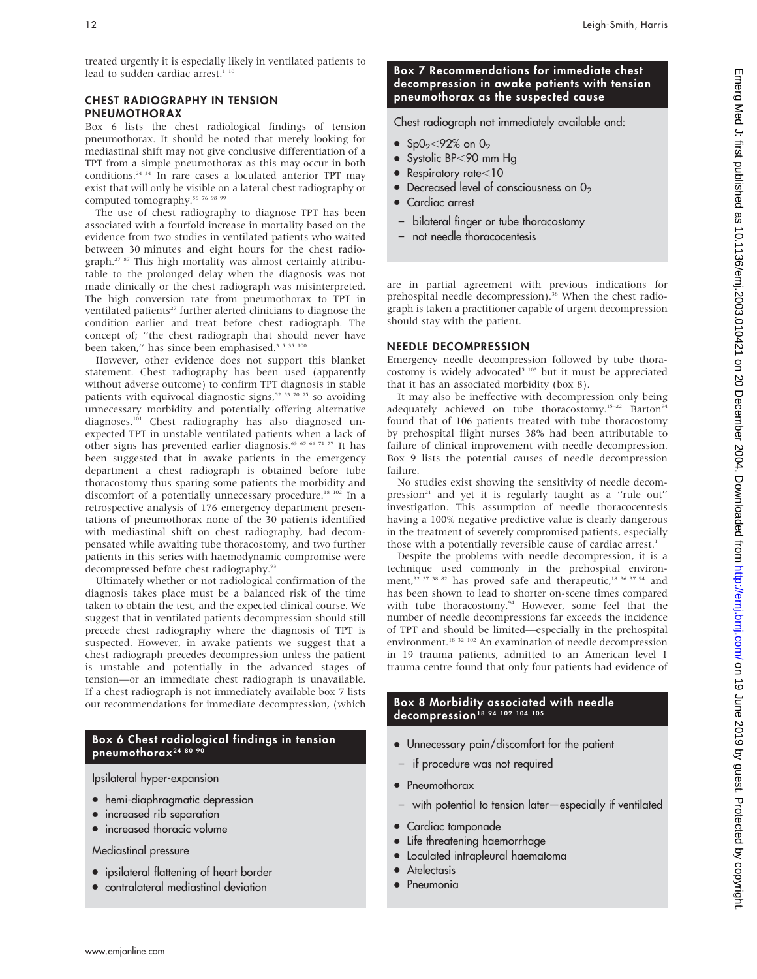treated urgently it is especially likely in ventilated patients to lead to sudden cardiac arrest.<sup>1 10</sup>

## CHEST RADIOGRAPHY IN TENSION PNEUMOTHORAX

Box 6 lists the chest radiological findings of tension pneumothorax. It should be noted that merely looking for mediastinal shift may not give conclusive differentiation of a TPT from a simple pneumothorax as this may occur in both conditions.24 34 In rare cases a loculated anterior TPT may exist that will only be visible on a lateral chest radiography or computed tomography.<sup>56 76 98 99</sup>

The use of chest radiography to diagnose TPT has been associated with a fourfold increase in mortality based on the evidence from two studies in ventilated patients who waited between 30 minutes and eight hours for the chest radiograph.<sup>27 87</sup> This high mortality was almost certainly attributable to the prolonged delay when the diagnosis was not made clinically or the chest radiograph was misinterpreted. The high conversion rate from pneumothorax to TPT in ventilated patients<sup>27</sup> further alerted clinicians to diagnose the condition earlier and treat before chest radiograph. The concept of; ''the chest radiograph that should never have been taken," has since been emphasised.<sup>3 5 35 100</sup>

However, other evidence does not support this blanket statement. Chest radiography has been used (apparently without adverse outcome) to confirm TPT diagnosis in stable patients with equivocal diagnostic signs, $52\frac{53\frac{70}{75}}{50\frac{75}{70}}$  so avoiding unnecessary morbidity and potentially offering alternative diagnoses.<sup>101</sup> Chest radiography has also diagnosed unexpected TPT in unstable ventilated patients when a lack of other signs has prevented earlier diagnosis.63 65 66 71 77 It has been suggested that in awake patients in the emergency department a chest radiograph is obtained before tube thoracostomy thus sparing some patients the morbidity and discomfort of a potentially unnecessary procedure.<sup>18 102</sup> In a retrospective analysis of 176 emergency department presentations of pneumothorax none of the 30 patients identified with mediastinal shift on chest radiography, had decompensated while awaiting tube thoracostomy, and two further patients in this series with haemodynamic compromise were decompressed before chest radiography.<sup>93</sup>

Ultimately whether or not radiological confirmation of the diagnosis takes place must be a balanced risk of the time taken to obtain the test, and the expected clinical course. We suggest that in ventilated patients decompression should still precede chest radiography where the diagnosis of TPT is suspected. However, in awake patients we suggest that a chest radiograph precedes decompression unless the patient is unstable and potentially in the advanced stages of tension—or an immediate chest radiograph is unavailable. If a chest radiograph is not immediately available box 7 lists our recommendations for immediate decompression, (which

## Box 6 Chest radiological findings in tension pneumothorax<sup>24 80 9</sup>

Ipsilateral hyper-expansion

- hemi-diaphragmatic depression
- increased rib separation
- increased thoracic volume

#### Mediastinal pressure

- ipsilateral flattening of heart border
- contralateral mediastinal deviation

## Box 7 Recommendations for immediate chest decompression in awake patients with tension pneumothorax as the suspected cause

Chest radiograph not immediately available and:

- $SpO_2 < 92%$  on  $O_2$
- $\bullet$  Systolic BP<90 mm Hg
- $\bullet$  Respiratory rate $<$ 10
- $\bullet$  Decreased level of consciousness on  $0_2$
- Cardiac arrest
- bilateral finger or tube thoracostomy
- not needle thoracocentesis

are in partial agreement with previous indications for prehospital needle decompression).<sup>38</sup> When the chest radiograph is taken a practitioner capable of urgent decompression should stay with the patient.

### NEEDLE DECOMPRESSION

Emergency needle decompression followed by tube thoracostomy is widely advocated<sup>5 103</sup> but it must be appreciated that it has an associated morbidity (box 8).

It may also be ineffective with decompression only being adequately achieved on tube thoracostomy.<sup>15-22</sup> Barton<sup>94</sup> found that of 106 patients treated with tube thoracostomy by prehospital flight nurses 38% had been attributable to failure of clinical improvement with needle decompression. Box 9 lists the potential causes of needle decompression failure.

No studies exist showing the sensitivity of needle decompression<sup>21</sup> and yet it is regularly taught as a "rule out" investigation. This assumption of needle thoracocentesis having a 100% negative predictive value is clearly dangerous in the treatment of severely compromised patients, especially those with a potentially reversible cause of cardiac arrest.<sup>1</sup>

Despite the problems with needle decompression, it is a technique used commonly in the prehospital environment,<sup>32 37 38 82</sup> has proved safe and therapeutic,<sup>18 36 37 94</sup> and has been shown to lead to shorter on-scene times compared with tube thoracostomy.<sup>94</sup> However, some feel that the number of needle decompressions far exceeds the incidence of TPT and should be limited—especially in the prehospital environment.18 32 102 An examination of needle decompression in 19 trauma patients, admitted to an American level 1 trauma centre found that only four patients had evidence of

### Box 8 Morbidity associated with needle decompression<sup>18 94</sup> 102 104 105

- Unnecessary pain/discomfort for the patient
- if procedure was not required
- Pneumothorax
- with potential to tension later—especially if ventilated
- Cardiac tamponade
- Life threatening haemorrhage
- $\bullet$  Loculated intrapleural haematoma
- Atelectasis
- Pneumonia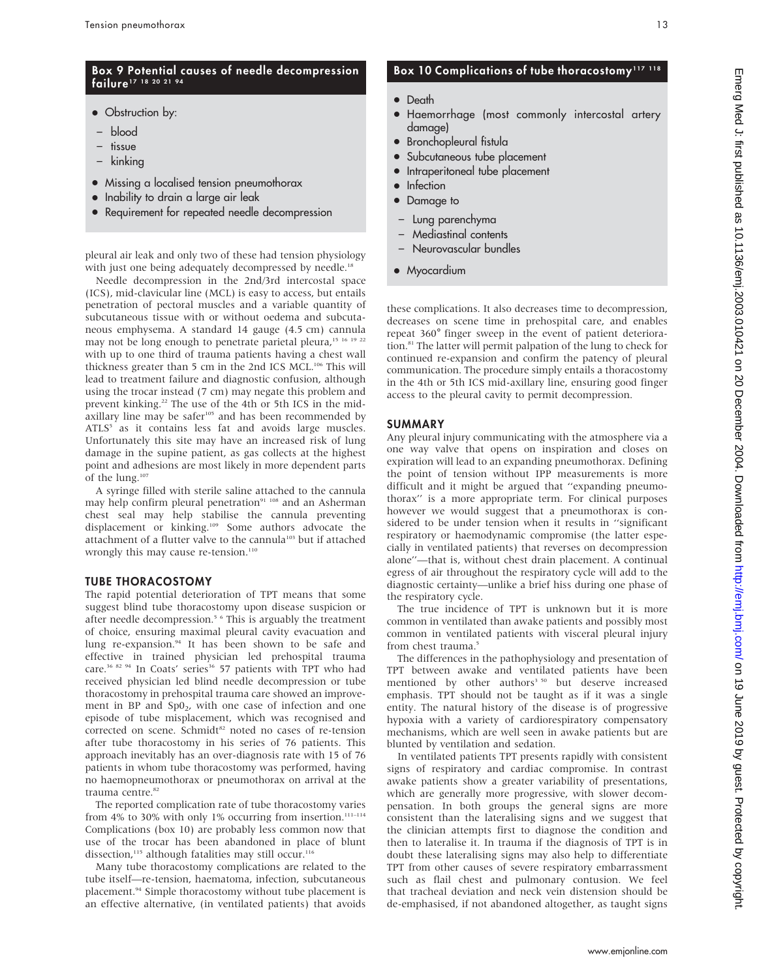## Box 9 Potential causes of needle decompression failure<sup>17</sup> 18 20 21 94

- Obstruction by:
- blood
- tissue
- kinking
- Missing a localised tension pneumothorax
- Inability to drain a large air leak
- Requirement for repeated needle decompression

pleural air leak and only two of these had tension physiology with just one being adequately decompressed by needle.<sup>18</sup>

Needle decompression in the 2nd/3rd intercostal space (ICS), mid-clavicular line (MCL) is easy to access, but entails penetration of pectoral muscles and a variable quantity of subcutaneous tissue with or without oedema and subcutaneous emphysema. A standard 14 gauge (4.5 cm) cannula may not be long enough to penetrate parietal pleura,<sup>15 16</sup> <sup>19</sup> <sup>22</sup> with up to one third of trauma patients having a chest wall thickness greater than 5 cm in the 2nd ICS MCL.<sup>106</sup> This will lead to treatment failure and diagnostic confusion, although using the trocar instead (7 cm) may negate this problem and prevent kinking.22 The use of the 4th or 5th ICS in the midaxillary line may be safer<sup>105</sup> and has been recommended by  $ATLS<sup>5</sup>$  as it contains less fat and avoids large muscles. Unfortunately this site may have an increased risk of lung damage in the supine patient, as gas collects at the highest point and adhesions are most likely in more dependent parts of the lung.107

A syringe filled with sterile saline attached to the cannula may help confirm pleural penetration<sup>91 108</sup> and an Asherman chest seal may help stabilise the cannula preventing displacement or kinking.<sup>109</sup> Some authors advocate the attachment of a flutter valve to the cannula<sup>103</sup> but if attached wrongly this may cause re-tension.<sup>110</sup>

## TUBE THORACOSTOMY

The rapid potential deterioration of TPT means that some suggest blind tube thoracostomy upon disease suspicion or after needle decompression.<sup>5 6</sup> This is arguably the treatment of choice, ensuring maximal pleural cavity evacuation and lung re-expansion.<sup>94</sup> It has been shown to be safe and effective in trained physician led prehospital trauma care.<sup>36 82 94</sup> In Coats' series<sup>36</sup> 57 patients with TPT who had received physician led blind needle decompression or tube thoracostomy in prehospital trauma care showed an improvement in BP and Sp0<sub>2</sub>, with one case of infection and one episode of tube misplacement, which was recognised and corrected on scene. Schmidt<sup>82</sup> noted no cases of re-tension after tube thoracostomy in his series of 76 patients. This approach inevitably has an over-diagnosis rate with 15 of 76 patients in whom tube thoracostomy was performed, having no haemopneumothorax or pneumothorax on arrival at the trauma centre.<sup>82</sup>

The reported complication rate of tube thoracostomy varies from 4% to 30% with only 1% occurring from insertion. $111-114$ Complications (box 10) are probably less common now that use of the trocar has been abandoned in place of blunt dissection,<sup>115</sup> although fatalities may still occur.<sup>116</sup>

Many tube thoracostomy complications are related to the tube itself—re-tension, haematoma, infection, subcutaneous placement.<sup>94</sup> Simple thoracostomy without tube placement is an effective alternative, (in ventilated patients) that avoids

## Box 10 Complications of tube thoracostomy<sup>117 118</sup>

## • Death

- Haemorrhage (most commonly intercostal artery damage)
- $\bullet$  Bronchopleural fistula
- Subcutaneous tube placement
- Intraperitoneal tube placement
- **Infection**
- Damage to
- Lung parenchyma
- Mediastinal contents
- Neurovascular bundles
- Myocardium

these complications. It also decreases time to decompression, decreases on scene time in prehospital care, and enables repeat 360˚ finger sweep in the event of patient deterioration.81 The latter will permit palpation of the lung to check for continued re-expansion and confirm the patency of pleural communication. The procedure simply entails a thoracostomy in the 4th or 5th ICS mid-axillary line, ensuring good finger access to the pleural cavity to permit decompression.

## SUMMARY

Any pleural injury communicating with the atmosphere via a one way valve that opens on inspiration and closes on expiration will lead to an expanding pneumothorax. Defining the point of tension without IPP measurements is more difficult and it might be argued that ''expanding pneumothorax'' is a more appropriate term. For clinical purposes however we would suggest that a pneumothorax is considered to be under tension when it results in ''significant respiratory or haemodynamic compromise (the latter especially in ventilated patients) that reverses on decompression alone''—that is, without chest drain placement. A continual egress of air throughout the respiratory cycle will add to the diagnostic certainty—unlike a brief hiss during one phase of the respiratory cycle.

The true incidence of TPT is unknown but it is more common in ventilated than awake patients and possibly most common in ventilated patients with visceral pleural injury from chest trauma.<sup>5</sup>

The differences in the pathophysiology and presentation of TPT between awake and ventilated patients have been mentioned by other authors<sup>3 50</sup> but deserve increased emphasis. TPT should not be taught as if it was a single entity. The natural history of the disease is of progressive hypoxia with a variety of cardiorespiratory compensatory mechanisms, which are well seen in awake patients but are blunted by ventilation and sedation.

In ventilated patients TPT presents rapidly with consistent signs of respiratory and cardiac compromise. In contrast awake patients show a greater variability of presentations, which are generally more progressive, with slower decompensation. In both groups the general signs are more consistent than the lateralising signs and we suggest that the clinician attempts first to diagnose the condition and then to lateralise it. In trauma if the diagnosis of TPT is in doubt these lateralising signs may also help to differentiate TPT from other causes of severe respiratory embarrassment such as flail chest and pulmonary contusion. We feel that tracheal deviation and neck vein distension should be de-emphasised, if not abandoned altogether, as taught signs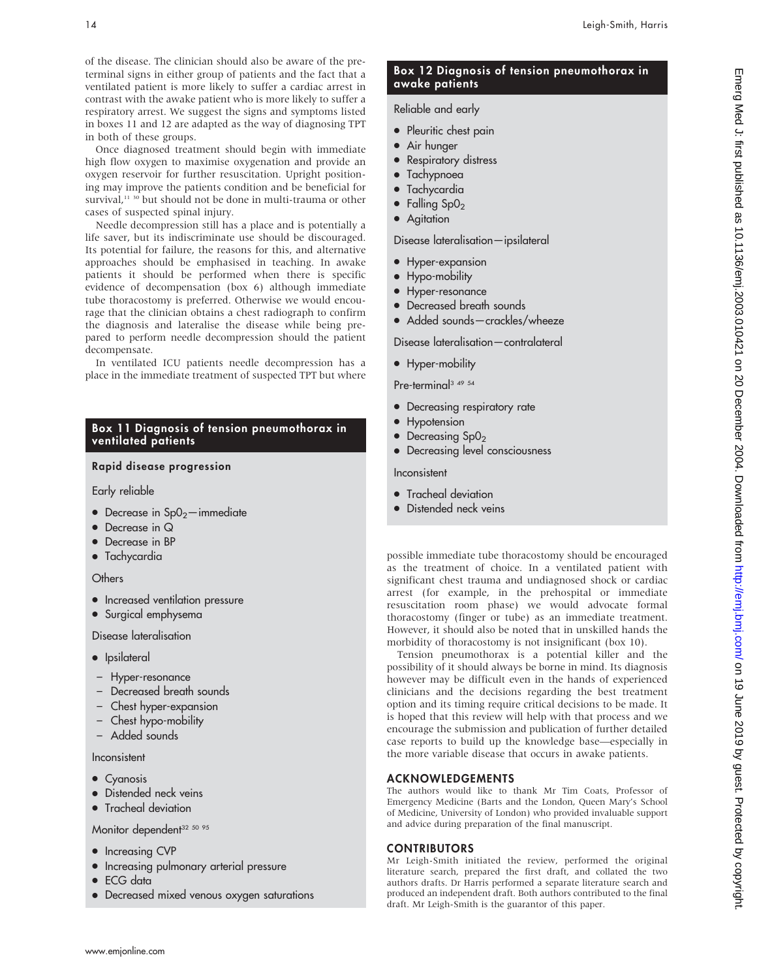of the disease. The clinician should also be aware of the preterminal signs in either group of patients and the fact that a ventilated patient is more likely to suffer a cardiac arrest in contrast with the awake patient who is more likely to suffer a respiratory arrest. We suggest the signs and symptoms listed in boxes 11 and 12 are adapted as the way of diagnosing TPT in both of these groups.

Once diagnosed treatment should begin with immediate high flow oxygen to maximise oxygenation and provide an oxygen reservoir for further resuscitation. Upright positioning may improve the patients condition and be beneficial for survival,<sup>11 30</sup> but should not be done in multi-trauma or other cases of suspected spinal injury.

Needle decompression still has a place and is potentially a life saver, but its indiscriminate use should be discouraged. Its potential for failure, the reasons for this, and alternative approaches should be emphasised in teaching. In awake patients it should be performed when there is specific evidence of decompensation (box 6) although immediate tube thoracostomy is preferred. Otherwise we would encourage that the clinician obtains a chest radiograph to confirm the diagnosis and lateralise the disease while being prepared to perform needle decompression should the patient decompensate.

In ventilated ICU patients needle decompression has a place in the immediate treatment of suspected TPT but where

## Box 11 Diagnosis of tension pneumothorax in ventilated patients

### Rapid disease progression

Early reliable

- $\bullet$  Decrease in Sp0<sub>2</sub>—immediate
- $\bullet$  Decrease in Q
- Decrease in BP
- Tachycardia

## **Others**

- Increased ventilation pressure
- $\bullet$  Surgical emphysema

Disease lateralisation

- Ipsilateral
- Hyper-resonance
- Decreased breath sounds
- Chest hyper-expansion
- Chest hypo-mobility
- Added sounds

#### Inconsistent

- Cyanosis
- Distended neck veins
- Tracheal deviation

## Monitor dependent<sup>32 50 95</sup>

- Increasing CVP
- $\bullet$  Increasing pulmonary arterial pressure
- ECG data
- Decreased mixed venous oxygen saturations

## Box 12 Diagnosis of tension pneumothorax in awake patients

## Reliable and early

- Pleuritic chest pain
- Air hunger
- Respiratory distress
- Tachypnoea
- Tachycardia
- $\bullet$  Falling SpO<sub>2</sub>
- Agitation

Disease lateralisation—ipsilateral

- Hyper-expansion
- Hypo-mobility
- Hyper-resonance
- Decreased breath sounds
- Added sounds-crackles/wheeze

Disease lateralisation—contralateral

• Hyper-mobility

Pre-terminal<sup>3 49 54</sup>

- Decreasing respiratory rate
- Hypotension
- $\bullet$  Decreasing Sp0<sub>2</sub>
- Decreasing level consciousness

#### Inconsistent

- $\bullet$  Tracheal deviation
- Distended neck veins

possible immediate tube thoracostomy should be encouraged as the treatment of choice. In a ventilated patient with significant chest trauma and undiagnosed shock or cardiac arrest (for example, in the prehospital or immediate resuscitation room phase) we would advocate formal thoracostomy (finger or tube) as an immediate treatment. However, it should also be noted that in unskilled hands the morbidity of thoracostomy is not insignificant (box 10).

Tension pneumothorax is a potential killer and the possibility of it should always be borne in mind. Its diagnosis however may be difficult even in the hands of experienced clinicians and the decisions regarding the best treatment option and its timing require critical decisions to be made. It is hoped that this review will help with that process and we encourage the submission and publication of further detailed case reports to build up the knowledge base—especially in the more variable disease that occurs in awake patients.

#### ACKNOWLEDGEMENTS

The authors would like to thank Mr Tim Coats, Professor of Emergency Medicine (Barts and the London, Queen Mary's School of Medicine, University of London) who provided invaluable support and advice during preparation of the final manuscript.

#### CONTRIBUTORS

Mr Leigh-Smith initiated the review, performed the original literature search, prepared the first draft, and collated the two authors drafts. Dr Harris performed a separate literature search and produced an independent draft. Both authors contributed to the final draft. Mr Leigh-Smith is the guarantor of this paper.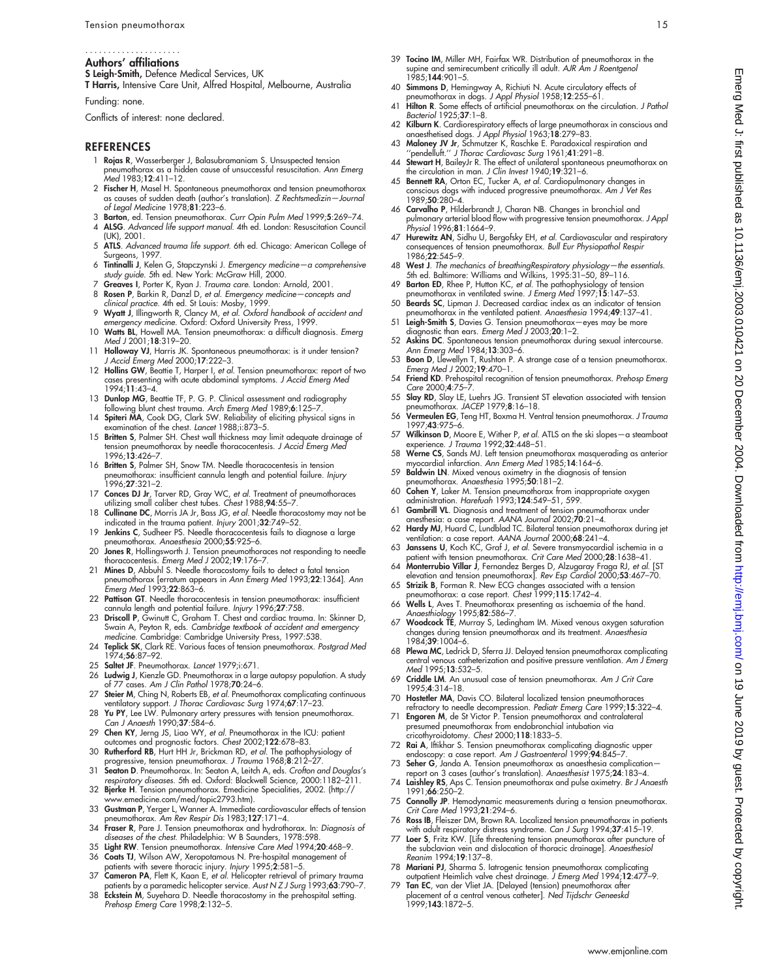#### Authors' affiliations .....................

S Leigh-Smith, Defence Medical Services, UK

T Harris, Intensive Care Unit, Alfred Hospital, Melbourne, Australia

Funding: none.

Conflicts of interest: none declared.

#### REFERENCES

- 1 Rojas R, Wasserberger J, Balasubramaniam S. Unsuspected tension pneumothorax as a hidden cause of unsuccessful resuscitation. Ann Emerg Med 1983;12:411–12.
- 2 Fischer H, Masel H. Spontaneous pneumothorax and tension pneumothorax as causes of sudden death (author's translation). Z Rechtsmedizin—Journal of Legal Medicine 1978;81:223–6.
- 3 Barton, ed. Tension pneumothorax. Curr Opin Pulm Med 1999;5:269–74.
- 4 ALSG. Advanced life support manual. 4th ed. London: Resuscitation Council (UK), 2001.
- 5 ATLS. Advanced trauma life support. 6th ed. Chicago: American College of
- Surgeons, 1997.<br>6 **Tintinalli J**, Kelen G, Stapczynski J. Emergency medicine—a comprehensive<br>study guide. 5th ed. New York: McGraw Hill, 2000.
- Greaves I, Porter K, Ryan J. Trauma care. London: Arnold, 2001. 8 Rosen P, Barkin R, Danzl D, et al. Emergency medicine—concepts and
- clinical practice. 4th ed. St Louis: Mosby, 1999. 9 Wyatt J, Illingworth R, Clancy M, et al. Oxford handbook of accident and emergency medicine. Oxford: Oxford University Press, 1999.
- 10 Watts BL, Howell MA. Tension pneumothorax: a difficult diagnosis. Emerg Med J 2001;18:319–20.
- 11 Holloway VJ, Harris JK. Spontaneous pneumothorax: is it under tension? J Accid Emerg Med 2000;17:222–3.
- 12 Hollins GW, Beattie T, Harper I, et al. Tension pneumothorax: report of two cases presenting with acute abdominal symptoms. J Accid Emerg Med 1994;11:43–4.
- 13 Dunlop MG, Beattie TF, P. G. P. Clinical assessment and radiography
- following blunt chest trauma. Arch Emerg Med 1989;6:125–7. 14 Spiteri MA, Cook DG, Clark SW. Reliability of eliciting physical signs in examination of the chest. Lancet 1988;i:873–5.
- 15 Britten S, Palmer SH. Chest wall thickness may limit adequate drainage of tension pneumothorax by needle thoracocentesis. J Accid Emerg Med 1996;13:426–7.
- 16 Britten S, Palmer SH, Snow TM. Needle thoracocentesis in tension neumothorax: insufficient cannula length and potential failure. Injury 1996;27:321–2.
- 17 Conces DJ Jr, Tarver RD, Gray WC, et al. Treatment of pneumothoraces utilizing small caliber chest tubes. Chest 1988;94:55–7.
- 18 Cullinane DC, Morris JA Jr, Bass JG, et al. Needle thoracostomy may not be
- indicated in the trauma patient. Injury 2001;32:749–52. 19 Jenkins C, Sudheer PS. Needle thoracocentesis fails to diagnose a large pneumothorax. Anaesthesia 2000;55:925–6.
- 20 Jones R, Hollingsworth J. Tension pneumothoraces not responding to needle thoracocentesis. Emerg Med J 2002;19:176–7.
- 21 **Mines D**, Abbuhl S. Needle thoracostomy fails to detect a fatal tension pneumothorax [erratum appears in Ann Emerg Med 1993;22:1364]. Ann Emerg Med 1993;22:863–6.
- 22 Pattison GT. Needle thoracocentesis in tension pneumothorax: insufficient cannula length and potential failure. Injury 1996;27:758.
- 23 Driscoll P, Gwinutt C, Graham T. Chest and cardiac trauma. In: Skinner D, Swain A, Peyton R, eds. Cambridge textbook of accident and emergency medicine. Cambridge: Cambridge University Press, 1997:538.
- 24 Teplick SK, Clark RE. Various faces of tension pneumothorax. Postgrad Med 1974;56:87–92.
- 25 Saltet JF. Pneumothorax. Lancet 1979;i:671.
- 26 Ludwig J, Kienzle GD. Pneumothorax in a large autopsy population. A study of 77 cases. Am J Clin Pathol 1978;70:24–6.
- 27 Steier M, Ching N, Roberts EB, et al. Pneumothorax complicating continuous ventilatory support. J Thorac Cardiovasc Surg 1974;67:17-23.
- 28 Yu PY, Lee LW. Pulmonary artery pressures with tension pneumothorax. Can J Anaesth 1990;37:584–6.
- 29 Chen KY, Jerng JS, Liao WY, et al. Pneumothorax in the ICU: patient outcomes and prognostic factors. Chest 2002;1**22**:678–83.<br>30 **Rutherford RB**, Hurt HH Jr, Brickman RD, et al. The pathophysiology of<br>progressive, tension pneumothorax. *J Trauma* 1968;**8**:212–27.
- 
- 31 Seaton D. Pneumothorax. In: Seaton A, Leitch A, eds. Crofton and Douglas's respiratory diseases. 5th ed. Oxford: Blackwell Science, 2000:1182–211. 32 Bjerke H. Tension pneumothorax. Emedicine Specialities, 2002. (http://
- www.emedicine.com/med/topic2793.htm). 33 Gustman P, Yerger L, Wanner A. Immediate cardiovascular effects of tension pneumothorax. Am Rev Respir Dis 1983;127:171–4.
- 34 Fraser R, Pare J. Tension pneumothorax and hydrothorax. In: Diagnosis of diseases of the chest. Philadelphia: W B Saunders, 1978:598.
- 35 Light RW. Tension pneumothorax. Intensive Care Med 1994;20:468–9.
- 36 Coats TJ, Wilson AW, Xeropotamous N. Pre-hospital management of
- patients with severe thoracic injury. Injury 1995;**2**:581–5.<br>37 **Cameron PA**, Flett K, Kaan E, *et al.* Helicopter retrieval of primary trauma<br>1993;**63**:790–7. patients by a paramedic helicopter service. Aust N Z J Surg 19
- 38 Eckstein M, Suyehara D. Needle thoracostomy in the prehospital setting. Prehosp Emerg Care 1998;2:132–5.
- 39 Tocino IM, Miller MH, Fairfax WR. Distribution of pneumothorax in the supine and semirecumbent critically ill adult. AJR Am J Roentgenol 1985;144:901–5.
- 40 Simmons D, Hemingway A, Richiuti N. Acute circulatory effects of pneumothorax in dogs. J Appl Physiol 1958;12:255-61.
- 41 **Hilton R**. Some effects of artificial pneumothorax on the circulation. J Pathol Bacteriol 1925;37:1–8.
- 42 Kilburn K. Cardiorespiratory effects of large pneumothorax in conscious and anaesthetised dogs. J Appl Physiol 1963;18:279–83.
- 43 Maloney JV Jr, Schmutzer K, Raschke E. Paradoxical respiration and ''pendelluft.'' J Thorac Cardiovasc Surg 1961;41:291–8.
- 44 Stewart H, BaileyJr R. The effect of unilateral spontaneous pneumothorax on the circulation in man. J Clin Invest 1940;19:321–6. 45 Bennett RA, Orton EC, Tucker A, et al. Cardiopulmonary changes in
- conscious dogs with induced progressive pneumothorax. A*m J Vet Res*<br>1989;**50**:280–4.
- 46 Carvalho P, Hilderbrandt J, Charan NB. Changes in bronchial and pulmonary arterial blood flow with progressive tension pneumothorax. J Appl Physiol 1996;81:1664-9.
- 47 Hurewitz AN, Sidhu U, Bergofsky EH, et al. Cardiovascular and respiratory consequences of tension pneumothorax. Bull Eur Physiopathol Respir 1986;22:545–9.
- 48 West J. The mechanics of breathingRespiratory physiology—the essentials. 5th ed. Baltimore: Williams and Wilkins, 1995:31–50, 89–116.
- 49 Barton ED, Rhee P, Hutton KC, et al. The pathophysiology of tension pneumothorax in ventilated swine. J Emerg Med 1997;15:147-53.
- 50 Beards SC, Lipman J. Decreased cardiac index as an indicator of tension pneumothorax in the ventilated patient. Anaesthesia 1994;49:137–41.
- 51 Leigh-Smith S, Davies G. Tension pneumothorax—eyes may be more diagnostic than ears. Emerg Med J 2003;20:1–2. 52 Askins DC. Spontaneous tension pneumothorax during sexual intercourse.
- Ann Emerg Med 1984;**13**:303–6.<br>53 **Boon D**, Llewellyn T, Rushton P. A strange case of a tension pneumothorax.
- Emerg Med J 2002;19:470–1.
- 54 Friend KD. Prehospital recognition of tension pneumothorax. Prehosp Emerg Care 2000;4:75–7. 55 Slay RD, Slay LE, Luehrs JG. Transient ST elevation associated with tension
- pneumothorax. JACEP 1979;8:16–18. pneumothorax. JACEL 1777, a. 10-10.<br>56 Vermeulen EG, Teng HT, Boxma H. Ventral tension pneumothorax. J Trauma 1997;43:975–6.
- 57 Wilkinson D, Moore E, Wither P, et al. ATLS on the ski slopes—a steamboat experience. J Trauma 1992;32:448-51.
- 58 Werne CS, Sands MJ. Left tension pneumothorax masquerading as anterior myocardial infarction. Ann Emerg Med 1985;14:164–6.
- 59 Baldwin LN. Mixed venous oximetry in the diagnosis of tension neumothorax. *Anaesthesia* 1995;**50**:181–2.
- 60 Cohen Y, Laker M. Tension pneumothorax from inappropriate oxygen administration. Harefuah 1993;124:549–51, 599.
- 61 Gambrill VL. Diagnosis and treatment of tension pneumothorax under anesthesia: a case report. AANA Journal 2002;70:21-4.
- 62 Hardy MJ, Huard C, Lundblad TC. Bilateral tension pneumothorax during jet ventilation: a case report. AANA Journal 2000;68:241–4. 63 Janssens U, Koch KC, Graf J, et al. Severe transmyocardial ischemia in a
- 
- patient with tension pneumothorax. *Crit Care Med* 2000;**28**:1638–41.<br>64 **Monterrubio Villar J**, Fernandez Berges D, Alzugaray Fraga RJ, *et al.* [ST<br>elevation and tension pneumothorax]. *Rev Esp Cardiol* 2000;**53**:467–70.
- 65 Strizik B, Forman R. New ECG changes associated with a tension<br>pneumothorax: a case report. Chest 1999;115:1742–4.<br>66 Wells L, Aves T. Pneumothorax presenting as ischaemia of the hand.
- Anaesthiology 1995;82:586–7.
- 67 Woodcock TE, Murray S, Ledingham IM. Mixed venous oxygen saturation changes during tension pneumothorax and its treatment. Anaesthesia 1984;39:1004–6.
- 68 Plewa MC, Ledrick D, Sferra JJ. Delayed tension pneumothorax complicating central venous catheterization and positive pressure ventilation. Am J Emerg Med 1995;13:532–5.
- 69 Criddle LM. An unusual case of tension pneumothorax. Am J Crit Care 1995;4:314–18.
- 70 Hostetler MA, Davis CO. Bilateral localized tension pneumothoraces refractory to needle decompression. Pediatr Emerg Care 1999;15:322–4.
- 71 Engoren M, de St Victor P. Tension pneumothorax and contralateral presumed pneumothorax from endobronchial intubation via
- cricothyroidotomy. Chest 2000;118:1833–5.<br>72 **Rai A**, Iftikhar S. Tension pneumothorax complicating diagnostic upper<br>endoscopy: a case report. A*m J Gastroenterol* 1999;**94**:845–7.
- 73 Seher G, Janda A. Tension pneumothorax as anaesthesia complication—
- report on 3 cases (author's translation). Anaesthesist 1975;24:183–4. 74 Laishley RS, Aps C. Tension pneumothorax and pulse oximetry. Br J Anaesth 1991;66:250–2.
- 75 Connolly JP. Hemodynamic measurements during a tension pneumothorax.
- Crit Care Med 1993;21:294–6. 76 Ross IB, Fleiszer DM, Brown RA. Localized tension pneumothorax in patients
- with adult respiratory distress syndrome. *Can J Surg* 1994;**37**:415–19.<br>77 **Loer S**, Fritz KW. [Life threatening tension pneumothorax after puncture of the subclavian vein and dislocation of thoracic drainage]. Anaesthesiol Reanim 1994;19:137–8.
- 78 Mariani PJ, Sharma S. Iatrogenic tension pneumothorax complicating outpatient Heimlich valve chest drainage. J Emerg Med 1994;12:477–9.
- 79 Tan EC, van der Vliet JA. [Delayed (tension) pneumothorax after placement of a central venous catheter]. Ned Tijdschr Geneeskd 1999;143:1872–5.

Emerg